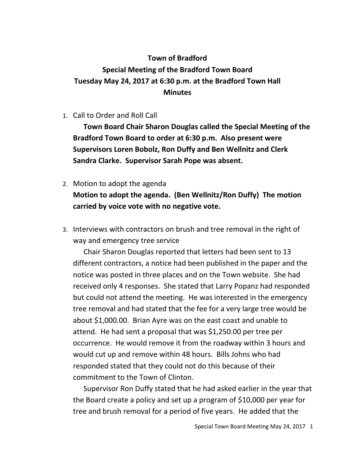## **Town of Bradford Special Meeting of the Bradford Town Board Tuesday May 24, 2017 at 6:30 p.m. at the Bradford Town Hall Minutes**

1. Call to Order and Roll Call

**Town Board Chair Sharon Douglas called the Special Meeting of the Bradford Town Board to order at 6:30 p.m. Also present were Supervisors Loren Bobolz, Ron Duffy and Ben Wellnitz and Clerk Sandra Clarke. Supervisor Sarah Pope was absent.**

- 2. Motion to adopt the agenda **Motion to adopt the agenda. (Ben Wellnitz/Ron Duffy) The motion carried by voice vote with no negative vote.**
- 3. Interviews with contractors on brush and tree removal in the right of way and emergency tree service

Chair Sharon Douglas reported that letters had been sent to 13 different contractors, a notice had been published in the paper and the notice was posted in three places and on the Town website. She had received only 4 responses. She stated that Larry Popanz had responded but could not attend the meeting. He was interested in the emergency tree removal and had stated that the fee for a very large tree would be about \$1,000.00. Brian Ayre was on the east coast and unable to attend. He had sent a proposal that was \$1,250.00 per tree per occurrence. He would remove it from the roadway within 3 hours and would cut up and remove within 48 hours. Bills Johns who had responded stated that they could not do this because of their commitment to the Town of Clinton.

Supervisor Ron Duffy stated that he had asked earlier in the year that the Board create a policy and set up a program of \$10,000 per year for tree and brush removal for a period of five years. He added that the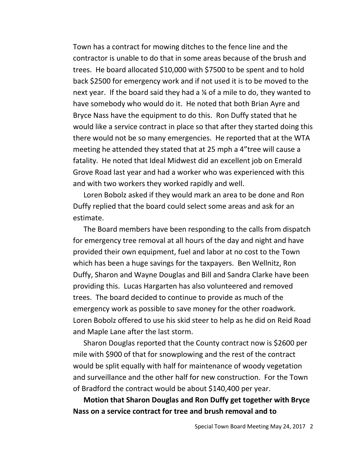Town has a contract for mowing ditches to the fence line and the contractor is unable to do that in some areas because of the brush and trees. He board allocated \$10,000 with \$7500 to be spent and to hold back \$2500 for emergency work and if not used it is to be moved to the next year. If the board said they had a ¼ of a mile to do, they wanted to have somebody who would do it. He noted that both Brian Ayre and Bryce Nass have the equipment to do this. Ron Duffy stated that he would like a service contract in place so that after they started doing this there would not be so many emergencies. He reported that at the WTA meeting he attended they stated that at 25 mph a 4"tree will cause a fatality. He noted that Ideal Midwest did an excellent job on Emerald Grove Road last year and had a worker who was experienced with this and with two workers they worked rapidly and well.

Loren Bobolz asked if they would mark an area to be done and Ron Duffy replied that the board could select some areas and ask for an estimate.

The Board members have been responding to the calls from dispatch for emergency tree removal at all hours of the day and night and have provided their own equipment, fuel and labor at no cost to the Town which has been a huge savings for the taxpayers. Ben Wellnitz, Ron Duffy, Sharon and Wayne Douglas and Bill and Sandra Clarke have been providing this. Lucas Hargarten has also volunteered and removed trees. The board decided to continue to provide as much of the emergency work as possible to save money for the other roadwork. Loren Bobolz offered to use his skid steer to help as he did on Reid Road and Maple Lane after the last storm.

Sharon Douglas reported that the County contract now is \$2600 per mile with \$900 of that for snowplowing and the rest of the contract would be split equally with half for maintenance of woody vegetation and surveillance and the other half for new construction. For the Town of Bradford the contract would be about \$140,400 per year.

**Motion that Sharon Douglas and Ron Duffy get together with Bryce Nass on a service contract for tree and brush removal and to**